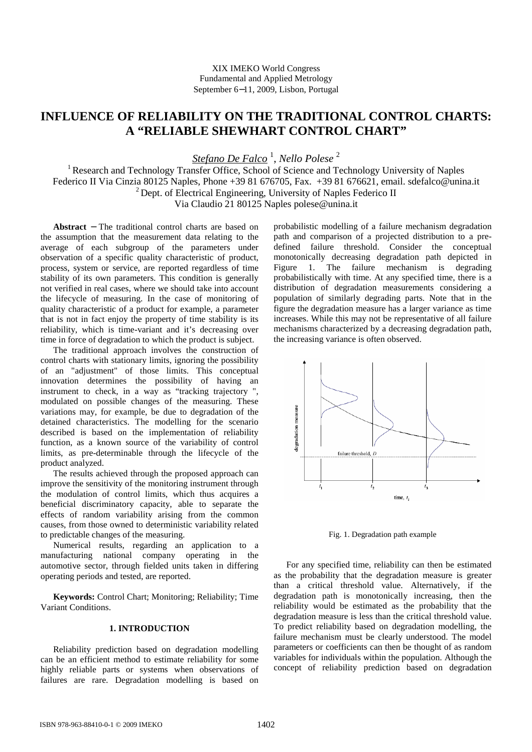# **INFLUENCE OF RELIABILITY ON THE TRADITIONAL CONTROL CHARTS: A "RELIABLE SHEWHART CONTROL CHART"**

*Stefano De Falco* <sup>1</sup> , *Nello Polese* <sup>2</sup>

<sup>1</sup> Research and Technology Transfer Office, School of Science and Technology University of Naples Federico II Via Cinzia 80125 Naples, Phone +39 81 676705, Fax. +39 81 676621, email. sdefalco@unina.it  $2$  Dept. of Electrical Engineering, University of Naples Federico II Via Claudio 21 80125 Naples polese@unina.it

**Abstract** − The traditional control charts are based on the assumption that the measurement data relating to the average of each subgroup of the parameters under observation of a specific quality characteristic of product, process, system or service, are reported regardless of time stability of its own parameters. This condition is generally not verified in real cases, where we should take into account the lifecycle of measuring. In the case of monitoring of quality characteristic of a product for example, a parameter that is not in fact enjoy the property of time stability is its reliability, which is time-variant and it's decreasing over time in force of degradation to which the product is subject.

The traditional approach involves the construction of control charts with stationary limits, ignoring the possibility of an "adjustment" of those limits. This conceptual innovation determines the possibility of having an instrument to check, in a way as "tracking trajectory ", modulated on possible changes of the measuring. These variations may, for example, be due to degradation of the detained characteristics. The modelling for the scenario described is based on the implementation of reliability function, as a known source of the variability of control limits, as pre-determinable through the lifecycle of the product analyzed.

The results achieved through the proposed approach can improve the sensitivity of the monitoring instrument through the modulation of control limits, which thus acquires a beneficial discriminatory capacity, able to separate the effects of random variability arising from the common causes, from those owned to deterministic variability related to predictable changes of the measuring.

Numerical results, regarding an application to a manufacturing national company operating in the automotive sector, through fielded units taken in differing operating periods and tested, are reported.

**Keywords:** Control Chart; Monitoring; Reliability; Time Variant Conditions.

## **1. INTRODUCTION**

Reliability prediction based on degradation modelling can be an efficient method to estimate reliability for some highly reliable parts or systems when observations of failures are rare. Degradation modelling is based on

probabilistic modelling of a failure mechanism degradation path and comparison of a projected distribution to a predefined failure threshold. Consider the conceptual monotonically decreasing degradation path depicted in Figure 1. The failure mechanism is degrading probabilistically with time. At any specified time, there is a distribution of degradation measurements considering a population of similarly degrading parts. Note that in the figure the degradation measure has a larger variance as time increases. While this may not be representative of all failure mechanisms characterized by a decreasing degradation path, the increasing variance is often observed.



Fig. 1. Degradation path example

For any specified time, reliability can then be estimated as the probability that the degradation measure is greater than a critical threshold value. Alternatively, if the degradation path is monotonically increasing, then the reliability would be estimated as the probability that the degradation measure is less than the critical threshold value. To predict reliability based on degradation modelling, the failure mechanism must be clearly understood. The model parameters or coefficients can then be thought of as random variables for individuals within the population. Although the concept of reliability prediction based on degradation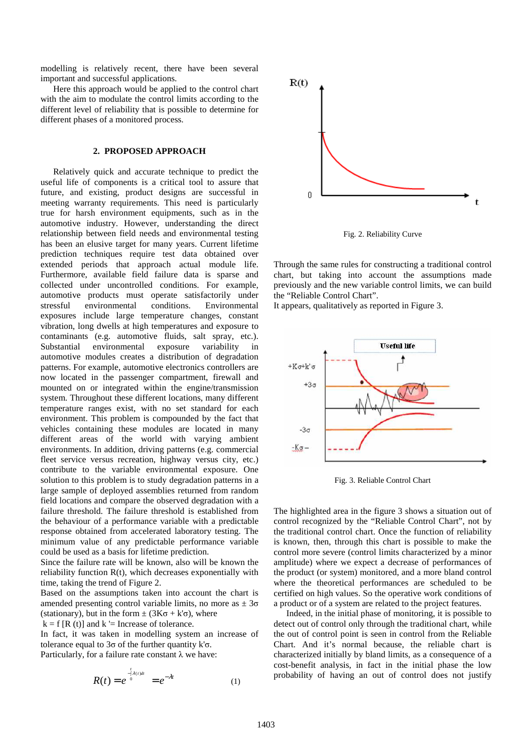modelling is relatively recent, there have been several important and successful applications.

Here this approach would be applied to the control chart with the aim to modulate the control limits according to the different level of reliability that is possible to determine for different phases of a monitored process.

## **2. PROPOSED APPROACH**

Relatively quick and accurate technique to predict the useful life of components is a critical tool to assure that future, and existing, product designs are successful in meeting warranty requirements. This need is particularly true for harsh environment equipments, such as in the automotive industry. However, understanding the direct relationship between field needs and environmental testing has been an elusive target for many years. Current lifetime prediction techniques require test data obtained over extended periods that approach actual module life. Furthermore, available field failure data is sparse and collected under uncontrolled conditions. For example, automotive products must operate satisfactorily under stressful environmental conditions. Environmental exposures include large temperature changes, constant vibration, long dwells at high temperatures and exposure to contaminants (e.g. automotive fluids, salt spray, etc.). Substantial environmental exposure variability in automotive modules creates a distribution of degradation patterns. For example, automotive electronics controllers are now located in the passenger compartment, firewall and mounted on or integrated within the engine/transmission system. Throughout these different locations, many different temperature ranges exist, with no set standard for each environment. This problem is compounded by the fact that vehicles containing these modules are located in many different areas of the world with varying ambient environments. In addition, driving patterns (e.g. commercial fleet service versus recreation, highway versus city, etc.) contribute to the variable environmental exposure. One solution to this problem is to study degradation patterns in a large sample of deployed assemblies returned from random field locations and compare the observed degradation with a failure threshold. The failure threshold is established from the behaviour of a performance variable with a predictable response obtained from accelerated laboratory testing. The minimum value of any predictable performance variable could be used as a basis for lifetime prediction.

Since the failure rate will be known, also will be known the reliability function R(t), which decreases exponentially with time, taking the trend of Figure 2.

Based on the assumptions taken into account the chart is amended presenting control variable limits, no more as  $\pm 3\sigma$ (stationary), but in the form  $\pm (3K\sigma + k'\sigma)$ , where

 $k = f [R(t)]$  and  $k'$  = Increase of tolerance.

In fact, it was taken in modelling system an increase of tolerance equal to  $3\sigma$  of the further quantity k'σ. Particularly, for a failure rate constant  $\lambda$  we have:

$$
R(t) = e^{\int_{-1}^{t} \lambda(t)dt} = e^{-\lambda t}
$$
 (1)



Fig. 2. Reliability Curve

Through the same rules for constructing a traditional control chart, but taking into account the assumptions made previously and the new variable control limits, we can build the "Reliable Control Chart".

It appears, qualitatively as reported in Figure 3.



Fig. 3. Reliable Control Chart

The highlighted area in the figure 3 shows a situation out of control recognized by the "Reliable Control Chart", not by the traditional control chart. Once the function of reliability is known, then, through this chart is possible to make the control more severe (control limits characterized by a minor amplitude) where we expect a decrease of performances of the product (or system) monitored, and a more bland control where the theoretical performances are scheduled to be certified on high values. So the operative work conditions of a product or of a system are related to the project features.

Indeed, in the initial phase of monitoring, it is possible to detect out of control only through the traditional chart, while the out of control point is seen in control from the Reliable Chart. And it's normal because, the reliable chart is characterized initially by bland limits, as a consequence of a cost-benefit analysis, in fact in the initial phase the low probability of having an out of control does not justify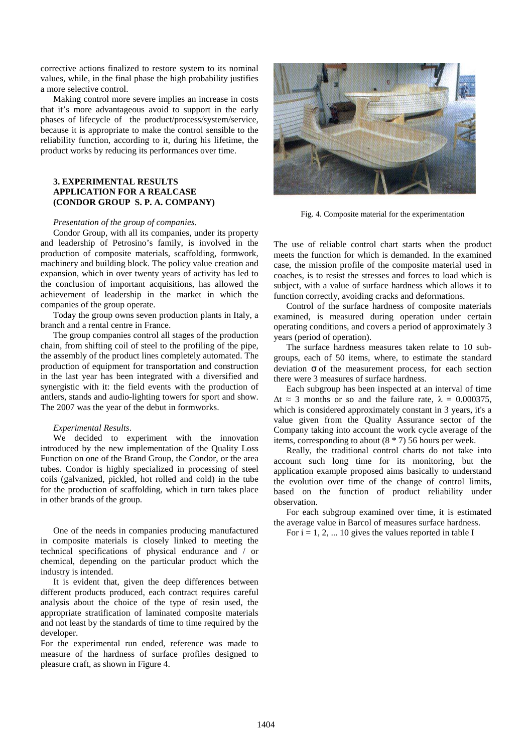corrective actions finalized to restore system to its nominal values, while, in the final phase the high probability justifies a more selective control.

Making control more severe implies an increase in costs that it's more advantageous avoid to support in the early phases of lifecycle of the product/process/system/service, because it is appropriate to make the control sensible to the reliability function, according to it, during his lifetime, the product works by reducing its performances over time.

## **3. EXPERIMENTAL RESULTS APPLICATION FOR A REALCASE (CONDOR GROUP S. P. A. COMPANY)**

#### *Presentation of the group of companies.*

Condor Group, with all its companies, under its property and leadership of Petrosino's family, is involved in the production of composite materials, scaffolding, formwork, machinery and building block. The policy value creation and expansion, which in over twenty years of activity has led to the conclusion of important acquisitions, has allowed the achievement of leadership in the market in which the companies of the group operate.

Today the group owns seven production plants in Italy, a branch and a rental centre in France.

The group companies control all stages of the production chain, from shifting coil of steel to the profiling of the pipe, the assembly of the product lines completely automated. The production of equipment for transportation and construction in the last year has been integrated with a diversified and synergistic with it: the field events with the production of antlers, stands and audio-lighting towers for sport and show. The 2007 was the year of the debut in formworks.

#### *Experimental Results*.

We decided to experiment with the innovation introduced by the new implementation of the Quality Loss Function on one of the Brand Group, the Condor, or the area tubes. Condor is highly specialized in processing of steel coils (galvanized, pickled, hot rolled and cold) in the tube for the production of scaffolding, which in turn takes place in other brands of the group.

One of the needs in companies producing manufactured in composite materials is closely linked to meeting the technical specifications of physical endurance and / or chemical, depending on the particular product which the industry is intended.

It is evident that, given the deep differences between different products produced, each contract requires careful analysis about the choice of the type of resin used, the appropriate stratification of laminated composite materials and not least by the standards of time to time required by the developer.

For the experimental run ended, reference was made to measure of the hardness of surface profiles designed to pleasure craft, as shown in Figure 4.



Fig. 4. Composite material for the experimentation

The use of reliable control chart starts when the product meets the function for which is demanded. In the examined case, the mission profile of the composite material used in coaches, is to resist the stresses and forces to load which is subject, with a value of surface hardness which allows it to function correctly, avoiding cracks and deformations.

Control of the surface hardness of composite materials examined, is measured during operation under certain operating conditions, and covers a period of approximately 3 years (period of operation).

The surface hardness measures taken relate to 10 subgroups, each of 50 items, where, to estimate the standard deviation σ of the measurement process, for each section there were 3 measures of surface hardness.

Each subgroup has been inspected at an interval of time  $\Delta t \approx 3$  months or so and the failure rate,  $\lambda = 0.000375$ , which is considered approximately constant in 3 years, it's a value given from the Quality Assurance sector of the Company taking into account the work cycle average of the items, corresponding to about (8 \* 7) 56 hours per week.

Really, the traditional control charts do not take into account such long time for its monitoring, but the application example proposed aims basically to understand the evolution over time of the change of control limits, based on the function of product reliability under observation.

For each subgroup examined over time, it is estimated the average value in Barcol of measures surface hardness.

For  $i = 1, 2, \dots 10$  gives the values reported in table I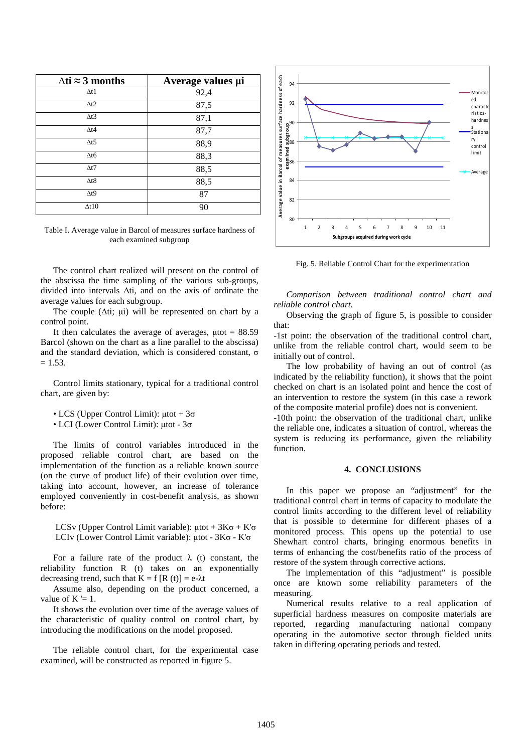| $\Delta t$ i ≈ 3 months | Average values µi |
|-------------------------|-------------------|
| $\Delta t1$             | 92,4              |
| $\Delta t$ 2            | 87,5              |
| $\Delta t$ 3            | 87,1              |
| $\Delta t4$             | 87,7              |
| $\Delta t$ 5            | 88,9              |
| $\Delta t$              | 88,3              |
| $\Delta t$ 7            | 88,5              |
| $\Delta t8$             | 88,5              |
| $\Delta t$ <sup>9</sup> | 87                |
| $\Delta t10$            | 90                |

Table I. Average value in Barcol of measures surface hardness of each examined subgroup

The control chart realized will present on the control of the abscissa the time sampling of the various sub-groups, divided into intervals ∆ti, and on the axis of ordinate the average values for each subgroup.

The couple ( $\Delta ti$ ; µi) will be represented on chart by a control point.

It then calculates the average of averages,  $\mu$ tot = 88.59 Barcol (shown on the chart as a line parallel to the abscissa) and the standard deviation, which is considered constant, σ  $= 1.53.$ 

Control limits stationary, typical for a traditional control chart, are given by:

- LCS (Upper Control Limit):  $\mu$ tot + 3 $\sigma$
- LCI (Lower Control Limit): µtot 3σ

The limits of control variables introduced in the proposed reliable control chart, are based on the implementation of the function as a reliable known source (on the curve of product life) of their evolution over time, taking into account, however, an increase of tolerance employed conveniently in cost-benefit analysis, as shown before:

LCSv (Upper Control Limit variable):  $\mu$ tot + 3K $\sigma$  + K' $\sigma$ LCIv (Lower Control Limit variable): µtot - 3Kσ - K'σ

For a failure rate of the product  $\lambda$  (t) constant, the reliability function R (t) takes on an exponentially decreasing trend, such that  $K = f[R(t)] = e<sup>-\lambda t</sup>$ 

Assume also, depending on the product concerned, a value of  $K \succeq 1$ .

It shows the evolution over time of the average values of the characteristic of quality control on control chart, by introducing the modifications on the model proposed.

The reliable control chart, for the experimental case examined, will be constructed as reported in figure 5.



Fig. 5. Reliable Control Chart for the experimentation

*Comparison between traditional control chart and reliable control chart.* 

Observing the graph of figure 5, is possible to consider that:

-1st point: the observation of the traditional control chart, unlike from the reliable control chart, would seem to be initially out of control.

The low probability of having an out of control (as indicated by the reliability function), it shows that the point checked on chart is an isolated point and hence the cost of an intervention to restore the system (in this case a rework of the composite material profile) does not is convenient.

-10th point: the observation of the traditional chart, unlike the reliable one, indicates a situation of control, whereas the system is reducing its performance, given the reliability function.

### **4. CONCLUSIONS**

In this paper we propose an "adjustment" for the traditional control chart in terms of capacity to modulate the control limits according to the different level of reliability that is possible to determine for different phases of a monitored process. This opens up the potential to use Shewhart control charts, bringing enormous benefits in terms of enhancing the cost/benefits ratio of the process of restore of the system through corrective actions.

The implementation of this "adjustment" is possible once are known some reliability parameters of the measuring.

Numerical results relative to a real application of superficial hardness measures on composite materials are reported, regarding manufacturing national company operating in the automotive sector through fielded units taken in differing operating periods and tested.